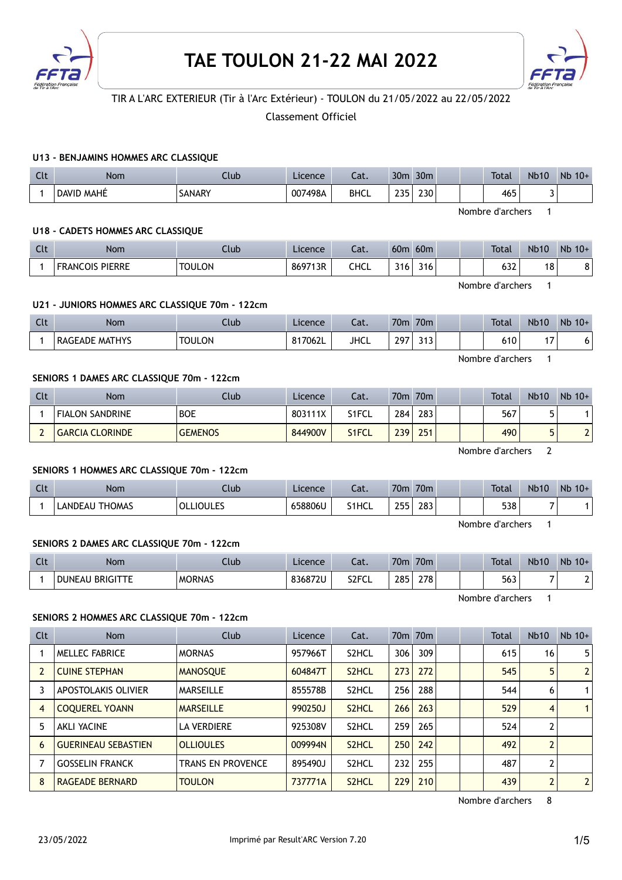



# TIR A L'ARC EXTERIEUR (Tir à l'Arc Extérieur) - TOULON du 21/05/2022 au 22/05/2022

Classement Officiel

## U13 - BENJAMINS HOMMES ARC CLASSIQUE

| Clt | <b>Nom</b>           | Jub    | Licence | Cat.        | 30 <sub>m</sub> | 30 <sub>m</sub> |  | <b>Total</b> | <b>Nb10</b> | <b>Nb</b><br>$10+$ |
|-----|----------------------|--------|---------|-------------|-----------------|-----------------|--|--------------|-------------|--------------------|
|     | MAHÉ<br><b>DAVID</b> | SANARY | 007498A | <b>BHCL</b> | つつら<br>---      | 230             |  | 465          | -           |                    |

Nombre d'archers 1

#### U18 - CADETS HOMMES ARC CLASSIQUE

| <b>Clt</b> | Nom                    | .lub          | Licence | $\sim$<br>cal. | 60 <sub>0</sub>  | 60 <sub>m</sub> | <b>Total</b>       | <b>Nb10</b> | Nb<br>$10+$ |
|------------|------------------------|---------------|---------|----------------|------------------|-----------------|--------------------|-------------|-------------|
|            | <b>FRANCOIS PIERRE</b> | <b>TOULON</b> | 869713R | CHCL           | 316 <sub>1</sub> | 316             | $\sqrt{2}$<br>03.Z | 18          | ິ<br>٥      |

Nombre d'archers 1

### U21 - JUNIORS HOMMES ARC CLASSIQUE 70m - 122cm

| Clt | <b>Nom</b>               | Club          | Licence | $\sim$<br>cal. | 70 <sub>m</sub> | 70 <sub>m</sub> |  | <b>Total</b> | <b>Nb10</b> | Nb<br>$10+$ |
|-----|--------------------------|---------------|---------|----------------|-----------------|-----------------|--|--------------|-------------|-------------|
|     | <b>MATHYS</b><br>RAGEADE | <b>TOULON</b> | 817062L | <b>JHCL</b>    | 297<br>47       | າ 4 ግ<br>J I J  |  | 610          | . –<br>''   | ו ס         |

Nombre d'archers 1

#### SENIORS 1 DAMES ARC CLASSIQUE 70m - 122cm

| Clt | Nom                    | Club           | Licence | Cat.               | 70m | 70 <sub>m</sub> | Total | <b>Nb10</b> | $Nb$ 10+ |
|-----|------------------------|----------------|---------|--------------------|-----|-----------------|-------|-------------|----------|
|     | <b>FIALON SANDRINE</b> | <b>BOE</b>     | 803111X | S1FCL              | 284 | 283             | 567   |             |          |
|     | <b>GARCIA CLORINDE</b> | <b>GEMENOS</b> | 844900V | S <sub>1</sub> FCL | 239 | 251             | 490   |             | ▃        |

Nombre d'archers 2

### SENIORS 1 HOMMES ARC CLASSIQUE 70m - 122cm

| Clt | Nom                            | .lub           | Licence | $\lnot$<br>∟aι. | 70m                 | 70m |  | <b>Total</b> | <b>Nb10</b> | Nb<br>$10+$ |
|-----|--------------------------------|----------------|---------|-----------------|---------------------|-----|--|--------------|-------------|-------------|
|     | THOMAS<br>_ANDEAU <sup>-</sup> | Lioules<br>OLL | 658806U | S1HCL           | つにに<br><u>_ _ _</u> | 283 |  | 538          | -           |             |

Nombre d'archers 1

## SENIORS 2 DAMES ARC CLASSIQUE 70m - 122cm

| $\sim$<br>uu | Nom                              | Jub           | Licence | $\sim$<br>Jal.     | 70m | 70 <sub>m</sub> | <b>Total</b> | <b>Nb10</b> | Nb<br>$10+$ |
|--------------|----------------------------------|---------------|---------|--------------------|-----|-----------------|--------------|-------------|-------------|
|              | <b>BRIGITTE</b><br><b>DUNEAU</b> | <b>MORNAS</b> | 836872U | S <sub>2</sub> FCL | 285 | 278             | 563          |             |             |

Nombre d'archers 1

### SENIORS 2 HOMMES ARC CLASSIQUE 70m - 122cm

| Clt            | <b>Nom</b>                 | <b>Club</b>              | Licence | Cat.               |     | 70 <sub>m</sub> 70 <sub>m</sub> |  | Total | Nb10           | $Nb$ 10+       |
|----------------|----------------------------|--------------------------|---------|--------------------|-----|---------------------------------|--|-------|----------------|----------------|
|                | MELLEC FABRICE             | <b>MORNAS</b>            | 957966T | S <sub>2</sub> HCL | 306 | 309                             |  | 615   | 16             | 5              |
| $\overline{2}$ | <b>CUINE STEPHAN</b>       | <b>MANOSOUE</b>          | 604847T | S <sub>2</sub> HCL | 273 | 272                             |  | 545   | 5              | $\overline{2}$ |
| 3              | <b>APOSTOLAKIS OLIVIER</b> | <b>MARSEILLE</b>         | 855578B | S <sub>2</sub> HCL | 256 | 288                             |  | 544   | 6              |                |
| $\overline{4}$ | <b>COOUEREL YOANN</b>      | <b>MARSEILLE</b>         | 990250J | S <sub>2</sub> HCL | 266 | 263                             |  | 529   | 4              |                |
| 5              | <b>AKLI YACINE</b>         | <b>LA VERDIERE</b>       | 925308V | S <sub>2</sub> HCL | 259 | 265                             |  | 524   | 2              |                |
| 6              | <b>GUERINEAU SEBASTIEN</b> | <b>OLLIOULES</b>         | 009994N | S <sub>2</sub> HCL | 250 | 242                             |  | 492   | $\overline{2}$ |                |
|                | <b>GOSSELIN FRANCK</b>     | <b>TRANS EN PROVENCE</b> | 895490J | S <sub>2</sub> HCL | 232 | 255                             |  | 487   | $\overline{2}$ |                |
| 8              | RAGEADE BERNARD            | <b>TOULON</b>            | 737771A | S <sub>2</sub> HCL | 229 | 210                             |  | 439   | $\overline{2}$ | $\overline{2}$ |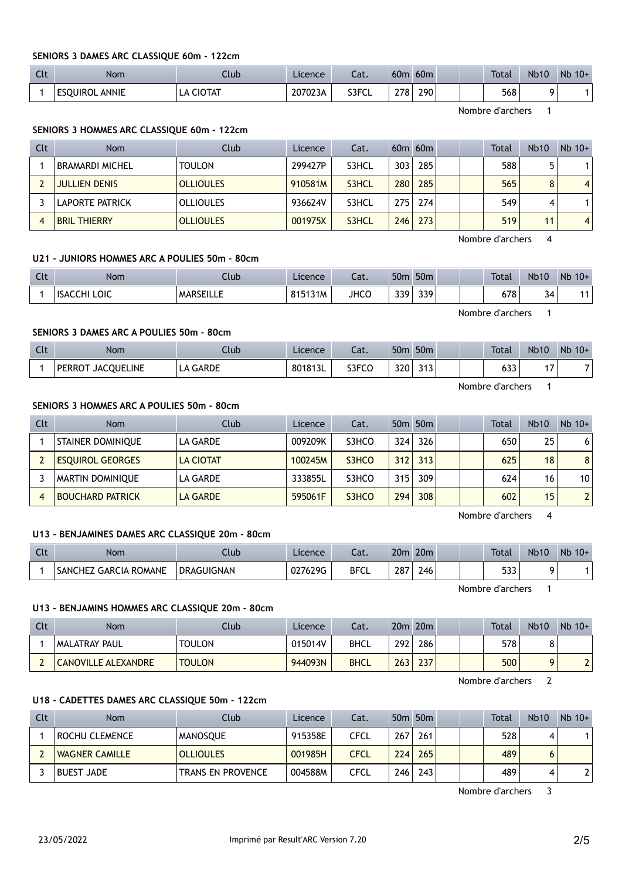#### SENIORS 3 DAMES ARC CLASSIQUE 60m - 122cm

| $\sim$<br>นเ | <b>Nom</b>            | Ilub                | Licence | $-1$<br>cal. | 60m | 60 <sub>m</sub> | <b>Total</b> | <b>Nb10</b> | <b>N<sub>b</sub></b><br>$10+$ |
|--------------|-----------------------|---------------------|---------|--------------|-----|-----------------|--------------|-------------|-------------------------------|
|              | <b>ESQUIROL ANNIE</b> | <b>CIOTAT</b><br>LA | 207023A | S3FCL        | 278 | 290             | 568          |             |                               |

Nombre d'archers 1

### SENIORS 3 HOMMES ARC CLASSIQUE 60m - 122cm

| Clt | <b>Nom</b>             | Club             | Licence | Cat.  |     | $60m$ $60m$ |  | Total | <b>Nb10</b> | $Nb$ 10+       |
|-----|------------------------|------------------|---------|-------|-----|-------------|--|-------|-------------|----------------|
|     | <b>BRAMARDI MICHEL</b> | <b>TOULON</b>    | 299427P | S3HCL | 303 | 285         |  | 588   |             |                |
|     | <b>JULLIEN DENIS</b>   | <b>OLLIOULES</b> | 910581M | S3HCL | 280 | 285         |  | 565   | 8           | 4 <sup>1</sup> |
|     | LAPORTE PATRICK        | <b>OLLIOULES</b> | 936624V | S3HCL | 275 | 274         |  | 549   | 4           |                |
|     | <b>BRIL THIERRY</b>    | <b>OLLIOULES</b> | 001975X | S3HCL | 246 | 273         |  | 519   | 11          | 4 <sup>1</sup> |

Nombre d'archers 4

## U21 - JUNIORS HOMMES ARC A POULIES 50m - 80cm

| Clt | Nom                        | Llub             | Licence | Cat.        | 50 <sub>m</sub> | 50 <sub>m</sub> |  | <b>Total</b> | <b>Nb10</b> | Nb<br>$10+$ |
|-----|----------------------------|------------------|---------|-------------|-----------------|-----------------|--|--------------|-------------|-------------|
|     | LOIC<br><b>ISAC</b><br>CHI | <b>MARSEILLE</b> | 815131M | <b>JHCC</b> | 339             | 330<br>JJ 1     |  | 678          | 34<br>J     |             |

#### SENIORS 3 DAMES ARC A POULIES 50m - 80cm

| Clt | <b>Nom</b>                         | Club        | Licence | $\sim$<br>cal. | 50 <sub>m</sub> | 50 <sub>m</sub> |  | <b>Total</b> | <b>Nb10</b>              | Nb<br>$10+$ |
|-----|------------------------------------|-------------|---------|----------------|-----------------|-----------------|--|--------------|--------------------------|-------------|
|     | <b>JACOUELINE</b><br><b>PERROT</b> | GARDE<br>LA | 801813L | S3FCO          | 320             | າ 4 ግ<br>ر ا ر  |  | 633          | $\overline{\phantom{a}}$ | ⇁           |

Nombre d'archers 1

Nombre d'archers 1

## SENIORS 3 HOMMES ARC A POULIES 50m - 80cm

| Clt | <b>Nom</b>               | Club             | Licence | Cat.  |                  | 50 <sub>m</sub> 50 <sub>m</sub> |  | <b>Total</b> | <b>Nb10</b> | $Nb$ 10+        |
|-----|--------------------------|------------------|---------|-------|------------------|---------------------------------|--|--------------|-------------|-----------------|
|     | <b>STAINER DOMINIQUE</b> | LA GARDE         | 009209K | S3HCO | 324              | 326                             |  | 650          | 25          | 6 <sup>1</sup>  |
|     | <b>ESOUIROL GEORGES</b>  | <b>LA CIOTAT</b> | 100245M | S3HCO | 312              | 313                             |  | 625          | 18          | 8 <sup>1</sup>  |
|     | <b>MARTIN DOMINIQUE</b>  | LA GARDE         | 333855L | S3HCO | 315              | 309                             |  | 624          | 16          | 10 <sup>1</sup> |
|     | <b>BOUCHARD PATRICK</b>  | <b>LA GARDE</b>  | 595061F | S3HCO | 294 <sub>1</sub> | 308                             |  | 602          | 15          | 21              |

Nombre d'archers 4

## U13 - BENJAMINES DAMES ARC CLASSIQUE 20m - 80cm

| $\sqrt{1}$<br>Ult | <b>Nom</b>                        | .lub       | Licence | ົາ <del>1</del><br>cal. | 20 <sub>m</sub> | 20 <sub>m</sub> |  | <b>Total</b> | <b>Nb10</b> | Nb<br>$10+$ |
|-------------------|-----------------------------------|------------|---------|-------------------------|-----------------|-----------------|--|--------------|-------------|-------------|
|                   | . GARCIA ROMANE<br><b>SANCHEZ</b> | DRAGUIGNAN | 027629G | <b>BFCL</b>             | 287             | 246             |  | につつ<br>ວວວ   |             |             |

Nombre d'archers 1

#### U13 - BENJAMINS HOMMES ARC CLASSIQUE 20m - 80cm

| Clt | Nom                  | Club          | <b>Licence</b> | Cat.        |                  | $20m$ $20m$ |  | Total | <b>Nb10</b> | $Nb$ 10+ |
|-----|----------------------|---------------|----------------|-------------|------------------|-------------|--|-------|-------------|----------|
|     | <b>MALATRAY PAUL</b> | <b>TOULON</b> | 015014V        | <b>BHCL</b> | 292              | 286         |  | 578   |             |          |
|     | CANOVILLE ALEXANDRE  | <b>TOULON</b> | 944093N        | <b>BHCL</b> | 263 <sub>1</sub> | 237         |  | 500   |             |          |

Nombre d'archers 2

## U18 - CADETTES DAMES ARC CLASSIQUE 50m - 122cm

| Clt | <b>Nom</b>            | Club                     | Licence | Cat.        |      | 50 <sub>m</sub> 50 <sub>m</sub> |  | <b>Total</b> | <b>Nb10</b> | $Nb$ 10+ |
|-----|-----------------------|--------------------------|---------|-------------|------|---------------------------------|--|--------------|-------------|----------|
|     | ROCHU CLEMENCE        | MANOSOUE                 | 915358E | CFCL        | 267  | 261                             |  | 528          |             |          |
|     | <b>WAGNER CAMILLE</b> | <b>OLLIOULES</b>         | 001985H | <b>CFCL</b> | 224  | 265                             |  | 489          |             |          |
|     | <b>BUEST JADE</b>     | <b>TRANS EN PROVENCE</b> | 004588M | CFCL        | 2461 | 243                             |  | 489          | 4           |          |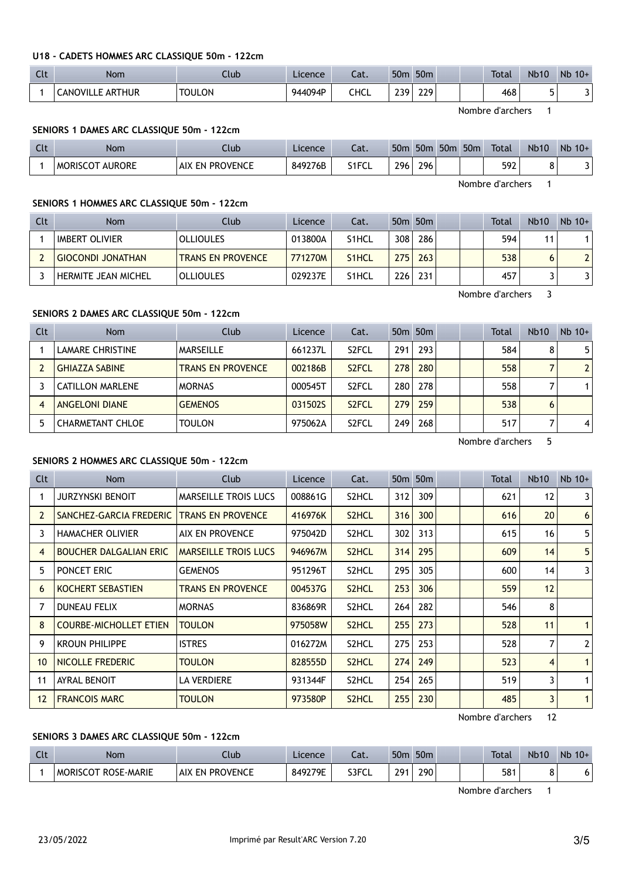#### U18 - CADETS HOMMES ARC CLASSIQUE 50m - 122cm

| $\sim$<br>ิเเ | <b>Nom</b>              | Llub          | Licence | $\sim$<br>cal. | 50 <sub>m</sub> | 50 <sub>m</sub> |  | <b>Total</b> | <b>Nb10</b> | <b>N<sub>b</sub></b><br>$10+$ |
|---------------|-------------------------|---------------|---------|----------------|-----------------|-----------------|--|--------------|-------------|-------------------------------|
|               | <b>CANOVILLE ARTHUR</b> | <b>TOULON</b> | 944094P | CHCL           | າາດ<br>້        | 229             |  | 468          | ۔           |                               |

Nombre d'archers 1

Nombre d'archers 1

### SENIORS 1 DAMES ARC CLASSIQUE 50m - 122cm

| C14<br><b>CLL</b> | Nom                              | lub                              | Licence | Cat.  | 50 <sub>m</sub> | 50 <sub>m</sub> | 50 <sub>m</sub> | 50 <sub>m</sub> | <b>Total</b> | <b>Nb10</b> | Nb<br>$10+$ |
|-------------------|----------------------------------|----------------------------------|---------|-------|-----------------|-----------------|-----------------|-----------------|--------------|-------------|-------------|
|                   | <b>AURORE</b><br><b>MORISCOT</b> | <b>EN PROVENCE</b><br><b>AIX</b> | 849276B | S1FCL | 296             | 296             |                 |                 | 592          | υ           |             |

SENIORS 1 HOMMES ARC CLASSIQUE 50m - 122cm

| Clt | <b>Nom</b>                 | Club                     | Licence | Cat.               |     | 50 <sub>m</sub> 50 <sub>m</sub> |  | <b>Total</b>     | <b>Nb10</b> | $Nb$ 10+       |
|-----|----------------------------|--------------------------|---------|--------------------|-----|---------------------------------|--|------------------|-------------|----------------|
|     | <b>IMBERT OLIVIER</b>      | <b>OLLIOULES</b>         | 013800A | S <sub>1</sub> HCL | 308 | 286                             |  | 594              | 11          |                |
|     | <b>GIOCONDI JONATHAN</b>   | <b>TRANS EN PROVENCE</b> | 771270M | S <sub>1</sub> HCL | 275 | 263                             |  | 538              | 6           | 2 <sup>1</sup> |
|     | <b>HERMITE JEAN MICHEL</b> | <b>OLLIOULES</b>         | 029237E | S <sub>1</sub> HCL | 226 | 231                             |  | 457              |             |                |
|     |                            |                          |         |                    |     |                                 |  | Nombre d'archers |             |                |

SENIORS 2 DAMES ARC CLASSIQUE 50m - 122cm

| Clt | Nom                     | Club                     | Licence | Cat.               |     | 50 <sub>m</sub> 50 <sub>m</sub> |  | <b>Total</b> | <b>Nb10</b> | $Nb$ 10+       |
|-----|-------------------------|--------------------------|---------|--------------------|-----|---------------------------------|--|--------------|-------------|----------------|
|     | <b>LAMARE CHRISTINE</b> | MARSEILLE                | 661237L | S <sub>2</sub> FCL | 291 | 293                             |  | 584          | 8           | 5              |
|     | <b>GHIAZZA SABINE</b>   | <b>TRANS EN PROVENCE</b> | 002186B | S <sub>2</sub> FCL | 278 | 280                             |  | 558          |             | 2 <sup>1</sup> |
|     | <b>CATILLON MARLENE</b> | <b>MORNAS</b>            | 000545T | S <sub>2</sub> FCL | 280 | 278                             |  | 558          |             |                |
|     | <b>ANGELONI DIANE</b>   | <b>GEMENOS</b>           | 0315025 | S <sub>2</sub> FCL | 279 | 259                             |  | 538          | 6           |                |
|     | <b>CHARMETANT CHLOE</b> | <b>TOULON</b>            | 975062A | S <sub>2</sub> FCL | 249 | 268                             |  | 517          |             | $\vert$        |

Nombre d'archers 5

### SENIORS 2 HOMMES ARC CLASSIQUE 50m - 122cm

| Clt            | <b>Nom</b>                    | <b>Club</b>                 | Licence | Cat.               |     | 50 <sub>m</sub> 50 <sub>m</sub> |  | <b>Total</b> | <b>Nb10</b> | $Nb$ 10+       |
|----------------|-------------------------------|-----------------------------|---------|--------------------|-----|---------------------------------|--|--------------|-------------|----------------|
|                | <b>JURZYNSKI BENOIT</b>       | <b>MARSEILLE TROIS LUCS</b> | 008861G | S2HCL              | 312 | 309                             |  | 621          | 12          | 3              |
| $\overline{2}$ | SANCHEZ-GARCIA FREDERIC       | <b>TRANS EN PROVENCE</b>    | 416976K | S <sub>2</sub> HCL | 316 | 300                             |  | 616          | 20          | 6              |
| 3              | <b>HAMACHER OLIVIER</b>       | AIX EN PROVENCE             | 975042D | S2HCL              | 302 | 313                             |  | 615          | 16          | 5              |
| 4              | <b>BOUCHER DALGALIAN ERIC</b> | <b>MARSEILLE TROIS LUCS</b> | 946967M | S <sub>2</sub> HCL | 314 | 295                             |  | 609          | 14          | 5              |
| 5.             | PONCET ERIC                   | <b>GEMENOS</b>              | 951296T | S2HCL              | 295 | 305                             |  | 600          | 14          | 3              |
| 6              | KOCHERT SEBASTIEN             | <b>TRANS EN PROVENCE</b>    | 004537G | S <sub>2</sub> HCL | 253 | 306                             |  | 559          | 12          |                |
|                | <b>DUNEAU FELIX</b>           | <b>MORNAS</b>               | 836869R | S2HCL              | 264 | 282                             |  | 546          | 8           |                |
| 8              | <b>COURBE-MICHOLLET ETIEN</b> | <b>TOULON</b>               | 975058W | S <sub>2</sub> HCL | 255 | 273                             |  | 528          | 11          | $\mathbf{1}$   |
| 9              | <b>KROUN PHILIPPE</b>         | <b>ISTRES</b>               | 016272M | S2HCL              | 275 | 253                             |  | 528          | 7           | $\overline{2}$ |
| 10             | NICOLLE FREDERIC              | <b>TOULON</b>               | 828555D | S <sub>2</sub> HCL | 274 | 249                             |  | 523          | 4           | $\mathbf{1}$   |
| 11             | <b>AYRAL BENOIT</b>           | <b>LA VERDIERE</b>          | 931344F | S2HCL              | 254 | 265                             |  | 519          | 3           | $\mathbf{1}$   |
| 12             | <b>FRANCOIS MARC</b>          | <b>TOULON</b>               | 973580P | S <sub>2</sub> HCL | 255 | 230                             |  | 485          | 3           | $\mathbf{1}$   |

Nombre d'archers 12

## SENIORS 3 DAMES ARC CLASSIQUE 50m - 122cm

| Clt | <b>Nom</b>                           | Llub                         | Licence | Cat.  | 50 <sub>m</sub> | 50 <sub>m</sub> |  | <b>Total</b> | <b>Nb10</b> | <b>N<sub>b</sub></b><br>$10+$ |
|-----|--------------------------------------|------------------------------|---------|-------|-----------------|-----------------|--|--------------|-------------|-------------------------------|
|     | <b>ROSE-MARIE</b><br><b>MORISCOT</b> | <b>PROVENCE</b><br>AIX<br>FΝ | 849279E | S3FCL | 701             | 290             |  | 581          |             |                               |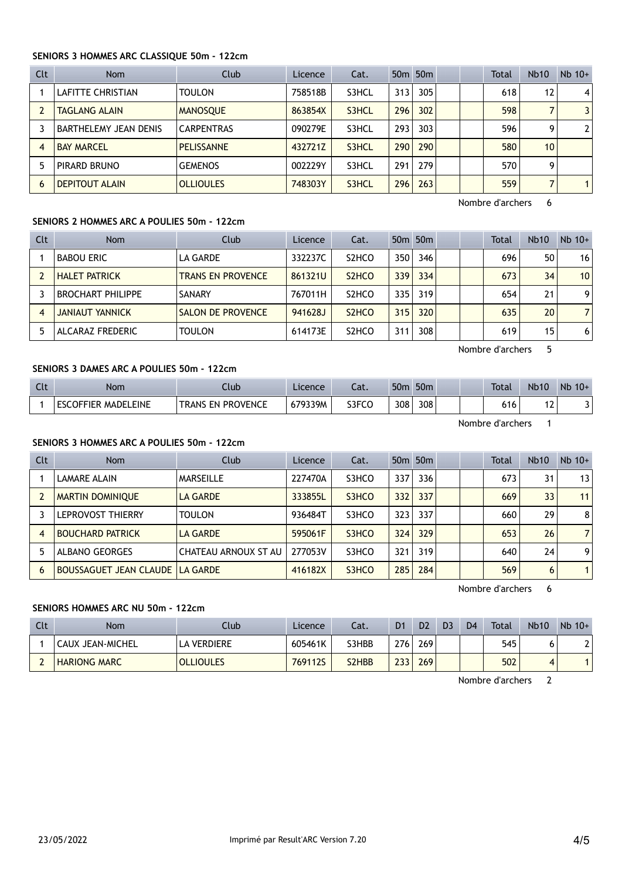## SENIORS 3 HOMMES ARC CLASSIQUE 50m - 122cm

| Clt | <b>Nom</b>            | Club              | Licence | Cat.  |     | 50 <sub>m</sub> 50 <sub>m</sub> |  | <b>Total</b> | <b>Nb10</b>     | $Nb$ 10+ |
|-----|-----------------------|-------------------|---------|-------|-----|---------------------------------|--|--------------|-----------------|----------|
|     | LAFITTE CHRISTIAN     | <b>TOULON</b>     | 758518B | S3HCL | 313 | 305                             |  | 618          | 12              | 4        |
|     | <b>TAGLANG ALAIN</b>  | <b>MANOSOUE</b>   | 863854X | S3HCL | 296 | 302                             |  | 598          |                 | 3        |
|     | BARTHELEMY JEAN DENIS | <b>CARPENTRAS</b> | 090279E | S3HCL | 293 | 303                             |  | 596          | Q               | 2        |
| 4   | <b>BAY MARCEL</b>     | <b>PELISSANNE</b> | 432721Z | S3HCL | 290 | 290                             |  | 580          | 10 <sup>1</sup> |          |
|     | PIRARD BRUNO          | <b>GEMENOS</b>    | 002229Y | S3HCL | 291 | 279                             |  | 570          | Q               |          |
| 6   | <b>DEPITOUT ALAIN</b> | <b>OLLIOULES</b>  | 748303Y | S3HCL | 296 | 263                             |  | 559          |                 |          |

Nombre d'archers 6

## SENIORS 2 HOMMES ARC A POULIES 50m - 122cm

| Clt | Nom                      | Club                     | Licence | Cat.               |                  | 50 <sub>m</sub> 50 <sub>m</sub> |  | <b>Total</b> | <b>Nb10</b> | $Nb$ 10+       |
|-----|--------------------------|--------------------------|---------|--------------------|------------------|---------------------------------|--|--------------|-------------|----------------|
|     | <b>BABOU ERIC</b>        | LA GARDE                 | 332237C | S <sub>2</sub> HCO | 350 <sub>1</sub> | 346                             |  | 696          | 50          | 16             |
|     | <b>HALET PATRICK</b>     | <b>TRANS EN PROVENCE</b> | 861321U | S <sub>2</sub> HCO | 339              | 334                             |  | 673          | 34          | 10             |
|     | <b>BROCHART PHILIPPE</b> | SANARY                   | 767011H | S <sub>2</sub> HCO | 335              | 319                             |  | 654          | 21          | 9              |
|     | <b>JANIAUT YANNICK</b>   | <b>SALON DE PROVENCE</b> | 941628J | S <sub>2</sub> HCO | 315              | 320                             |  | 635          | 20          | $\overline{7}$ |
|     | ALCARAZ FREDERIC         | <b>TOULON</b>            | 614173E | S <sub>2</sub> HCO | 311              | 308                             |  | 619          | 15          | 6              |

Nombre d'archers 5

## SENIORS 3 DAMES ARC A POULIES 50m - 122cm

| Clt | <b>Nom</b>                 | Ilub                     | Licence | ۰.,<br>cal. | 50 <sub>π</sub> | 50 <sub>m</sub> |  | <b>Total</b> | <b>Nb10</b> | Nb<br>$10+$ |
|-----|----------------------------|--------------------------|---------|-------------|-----------------|-----------------|--|--------------|-------------|-------------|
|     | <b>ESCOFFIER MADELEINE</b> | <b>TRANS EN PROVENCE</b> | 679339M | S3FCO       | 308             | 308             |  | 616          | ∽<br>. L :  |             |

Nombre d'archers 1

## SENIORS 3 HOMMES ARC A POULIES 50m - 122cm

| Clt | Nom                           | Club                 | <b>Licence</b> | Cat.  |     | 50 <sub>m</sub> 50 <sub>m</sub> |  | <b>Total</b> | Nb10 | $Nb$ 10+       |
|-----|-------------------------------|----------------------|----------------|-------|-----|---------------------------------|--|--------------|------|----------------|
|     | LAMARE ALAIN                  | <b>MARSEILLE</b>     | 227470A        | S3HCO | 337 | 336                             |  | 673          | 31   | 13             |
|     | <b>MARTIN DOMINIOUE</b>       | <b>LA GARDE</b>      | 333855L        | S3HCO | 332 | 337                             |  | 669          | 33   | 11             |
|     | LEPROVOST THIERRY             | <b>TOULON</b>        | 936484T        | S3HCO | 323 | 337                             |  | 660          | 29   | 8              |
| 4   | <b>BOUCHARD PATRICK</b>       | LA GARDE             | 595061F        | S3HCO | 324 | 329                             |  | 653          | 26   | $\overline{7}$ |
|     | <b>ALBANO GEORGES</b>         | CHATEAU ARNOUX ST AU | 277053V        | S3HCO | 321 | 319                             |  | 640          | 24   | 9              |
| 6   | <b>BOUSSAGUET JEAN CLAUDE</b> | l LA GARDE           | 416182X        | S3HCO | 285 | 284                             |  | 569          | 6    |                |

Nombre d'archers 6

## SENIORS HOMMES ARC NU 50m - 122cm

| Clt | Nom                 | Club             | Licence        | Cat.                           | D <sub>1</sub> | D <sub>2</sub> | D <sub>3</sub> | D <sub>4</sub> | Total | <b>Nb10</b> | $Nb$ 10+ |
|-----|---------------------|------------------|----------------|--------------------------------|----------------|----------------|----------------|----------------|-------|-------------|----------|
|     | 'CAUX JEAN-MICHEL   | LA VERDIERE      | 605461K        | S3HBB                          | 276            | 269            |                |                | 545   |             |          |
|     | <b>HARIONG MARC</b> | <b>OLLIOULES</b> | <b>7691125</b> | S <sub>2</sub> H <sub>BB</sub> | 2331           | 269            |                |                | 502   |             |          |